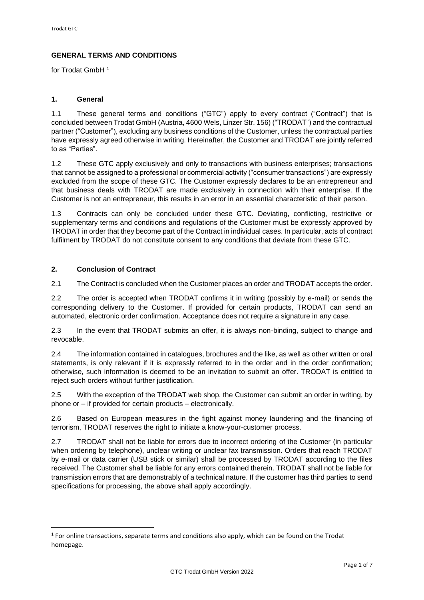# **GENERAL TERMS AND CONDITIONS**

for Trodat GmbH <sup>1</sup>

## **1. General**

1.1 These general terms and conditions ("GTC") apply to every contract ("Contract") that is concluded between Trodat GmbH (Austria, 4600 Wels, Linzer Str. 156) ("TRODAT") and the contractual partner ("Customer"), excluding any business conditions of the Customer, unless the contractual parties have expressly agreed otherwise in writing. Hereinafter, the Customer and TRODAT are jointly referred to as "Parties".

1.2 These GTC apply exclusively and only to transactions with business enterprises; transactions that cannot be assigned to a professional or commercial activity ("consumer transactions") are expressly excluded from the scope of these GTC. The Customer expressly declares to be an entrepreneur and that business deals with TRODAT are made exclusively in connection with their enterprise. If the Customer is not an entrepreneur, this results in an error in an essential characteristic of their person.

1.3 Contracts can only be concluded under these GTC. Deviating, conflicting, restrictive or supplementary terms and conditions and regulations of the Customer must be expressly approved by TRODAT in order that they become part of the Contract in individual cases. In particular, acts of contract fulfilment by TRODAT do not constitute consent to any conditions that deviate from these GTC.

## **2. Conclusion of Contract**

2.1 The Contract is concluded when the Customer places an order and TRODAT accepts the order.

2.2 The order is accepted when TRODAT confirms it in writing (possibly by e-mail) or sends the corresponding delivery to the Customer. If provided for certain products, TRODAT can send an automated, electronic order confirmation. Acceptance does not require a signature in any case.

2.3 In the event that TRODAT submits an offer, it is always non-binding, subject to change and revocable.

2.4 The information contained in catalogues, brochures and the like, as well as other written or oral statements, is only relevant if it is expressly referred to in the order and in the order confirmation; otherwise, such information is deemed to be an invitation to submit an offer. TRODAT is entitled to reject such orders without further justification.

2.5 With the exception of the TRODAT web shop, the Customer can submit an order in writing, by phone or – if provided for certain products – electronically.

2.6 Based on European measures in the fight against money laundering and the financing of terrorism, TRODAT reserves the right to initiate a know-your-customer process.

2.7 TRODAT shall not be liable for errors due to incorrect ordering of the Customer (in particular when ordering by telephone), unclear writing or unclear fax transmission. Orders that reach TRODAT by e-mail or data carrier (USB stick or similar) shall be processed by TRODAT according to the files received. The Customer shall be liable for any errors contained therein. TRODAT shall not be liable for transmission errors that are demonstrably of a technical nature. If the customer has third parties to send specifications for processing, the above shall apply accordingly.

 $<sup>1</sup>$  For online transactions, separate terms and conditions also apply, which can be found on the Trodat</sup> homepage.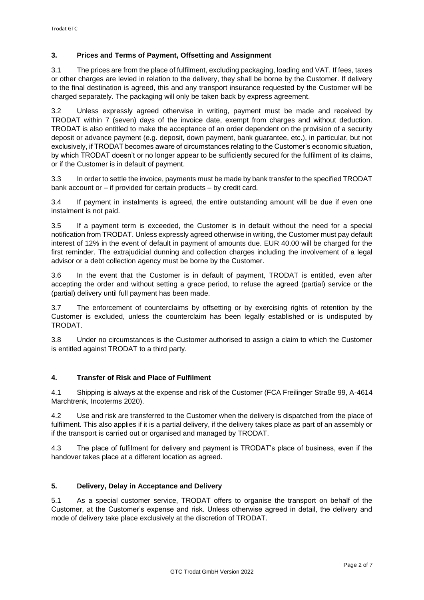# **3. Prices and Terms of Payment, Offsetting and Assignment**

3.1 The prices are from the place of fulfilment, excluding packaging, loading and VAT. If fees, taxes or other charges are levied in relation to the delivery, they shall be borne by the Customer. If delivery to the final destination is agreed, this and any transport insurance requested by the Customer will be charged separately. The packaging will only be taken back by express agreement.

3.2 Unless expressly agreed otherwise in writing, payment must be made and received by TRODAT within 7 (seven) days of the invoice date, exempt from charges and without deduction. TRODAT is also entitled to make the acceptance of an order dependent on the provision of a security deposit or advance payment (e.g. deposit, down payment, bank guarantee, etc.), in particular, but not exclusively, if TRODAT becomes aware of circumstances relating to the Customer's economic situation, by which TRODAT doesn't or no longer appear to be sufficiently secured for the fulfilment of its claims, or if the Customer is in default of payment.

3.3 In order to settle the invoice, payments must be made by bank transfer to the specified TRODAT bank account or – if provided for certain products – by credit card.

3.4 If payment in instalments is agreed, the entire outstanding amount will be due if even one instalment is not paid.

3.5 If a payment term is exceeded, the Customer is in default without the need for a special notification from TRODAT. Unless expressly agreed otherwise in writing, the Customer must pay default interest of 12% in the event of default in payment of amounts due. EUR 40.00 will be charged for the first reminder. The extrajudicial dunning and collection charges including the involvement of a legal advisor or a debt collection agency must be borne by the Customer.

3.6 In the event that the Customer is in default of payment, TRODAT is entitled, even after accepting the order and without setting a grace period, to refuse the agreed (partial) service or the (partial) delivery until full payment has been made.

3.7 The enforcement of counterclaims by offsetting or by exercising rights of retention by the Customer is excluded, unless the counterclaim has been legally established or is undisputed by TRODAT.

3.8 Under no circumstances is the Customer authorised to assign a claim to which the Customer is entitled against TRODAT to a third party.

## **4. Transfer of Risk and Place of Fulfilment**

4.1 Shipping is always at the expense and risk of the Customer (FCA Freilinger Straße 99, A-4614 Marchtrenk, Incoterms 2020).

4.2 Use and risk are transferred to the Customer when the delivery is dispatched from the place of fulfilment. This also applies if it is a partial delivery, if the delivery takes place as part of an assembly or if the transport is carried out or organised and managed by TRODAT.

4.3 The place of fulfilment for delivery and payment is TRODAT's place of business, even if the handover takes place at a different location as agreed.

## **5. Delivery, Delay in Acceptance and Delivery**

5.1 As a special customer service, TRODAT offers to organise the transport on behalf of the Customer, at the Customer's expense and risk. Unless otherwise agreed in detail, the delivery and mode of delivery take place exclusively at the discretion of TRODAT.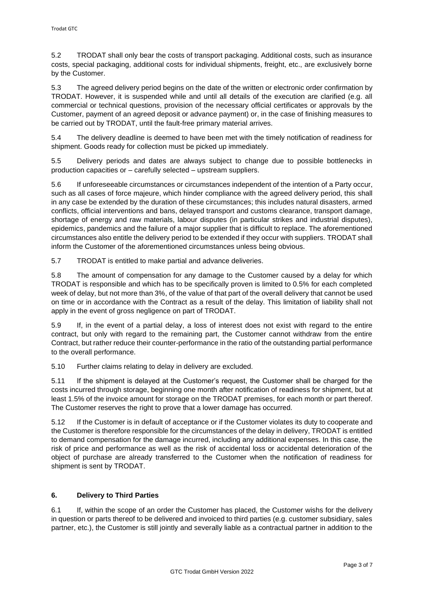5.2 TRODAT shall only bear the costs of transport packaging. Additional costs, such as insurance costs, special packaging, additional costs for individual shipments, freight, etc., are exclusively borne by the Customer.

5.3 The agreed delivery period begins on the date of the written or electronic order confirmation by TRODAT. However, it is suspended while and until all details of the execution are clarified (e.g. all commercial or technical questions, provision of the necessary official certificates or approvals by the Customer, payment of an agreed deposit or advance payment) or, in the case of finishing measures to be carried out by TRODAT, until the fault-free primary material arrives.

5.4 The delivery deadline is deemed to have been met with the timely notification of readiness for shipment. Goods ready for collection must be picked up immediately.

5.5 Delivery periods and dates are always subject to change due to possible bottlenecks in production capacities or – carefully selected – upstream suppliers.

5.6 If unforeseeable circumstances or circumstances independent of the intention of a Party occur, such as all cases of force majeure, which hinder compliance with the agreed delivery period, this shall in any case be extended by the duration of these circumstances; this includes natural disasters, armed conflicts, official interventions and bans, delayed transport and customs clearance, transport damage, shortage of energy and raw materials, labour disputes (in particular strikes and industrial disputes), epidemics, pandemics and the failure of a major supplier that is difficult to replace. The aforementioned circumstances also entitle the delivery period to be extended if they occur with suppliers. TRODAT shall inform the Customer of the aforementioned circumstances unless being obvious.

5.7 TRODAT is entitled to make partial and advance deliveries.

5.8 The amount of compensation for any damage to the Customer caused by a delay for which TRODAT is responsible and which has to be specifically proven is limited to 0.5% for each completed week of delay, but not more than 3%, of the value of that part of the overall delivery that cannot be used on time or in accordance with the Contract as a result of the delay. This limitation of liability shall not apply in the event of gross negligence on part of TRODAT.

5.9 If, in the event of a partial delay, a loss of interest does not exist with regard to the entire contract, but only with regard to the remaining part, the Customer cannot withdraw from the entire Contract, but rather reduce their counter-performance in the ratio of the outstanding partial performance to the overall performance.

5.10 Further claims relating to delay in delivery are excluded.

5.11 If the shipment is delayed at the Customer's request, the Customer shall be charged for the costs incurred through storage, beginning one month after notification of readiness for shipment, but at least 1.5% of the invoice amount for storage on the TRODAT premises, for each month or part thereof. The Customer reserves the right to prove that a lower damage has occurred.

5.12 If the Customer is in default of acceptance or if the Customer violates its duty to cooperate and the Customer is therefore responsible for the circumstances of the delay in delivery, TRODAT is entitled to demand compensation for the damage incurred, including any additional expenses. In this case, the risk of price and performance as well as the risk of accidental loss or accidental deterioration of the object of purchase are already transferred to the Customer when the notification of readiness for shipment is sent by TRODAT.

# **6. Delivery to Third Parties**

6.1 If, within the scope of an order the Customer has placed, the Customer wishs for the delivery in question or parts thereof to be delivered and invoiced to third parties (e.g. customer subsidiary, sales partner, etc.), the Customer is still jointly and severally liable as a contractual partner in addition to the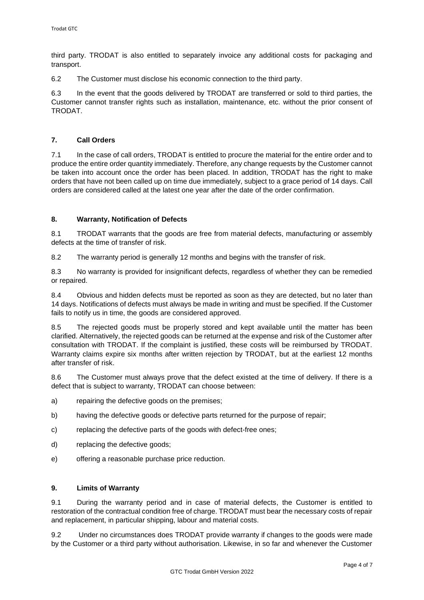third party. TRODAT is also entitled to separately invoice any additional costs for packaging and transport.

6.2 The Customer must disclose his economic connection to the third party.

6.3 In the event that the goods delivered by TRODAT are transferred or sold to third parties, the Customer cannot transfer rights such as installation, maintenance, etc. without the prior consent of TRODAT.

#### **7. Call Orders**

7.1 In the case of call orders, TRODAT is entitled to procure the material for the entire order and to produce the entire order quantity immediately. Therefore, any change requests by the Customer cannot be taken into account once the order has been placed. In addition, TRODAT has the right to make orders that have not been called up on time due immediately, subject to a grace period of 14 days. Call orders are considered called at the latest one year after the date of the order confirmation.

#### **8. Warranty, Notification of Defects**

8.1 TRODAT warrants that the goods are free from material defects, manufacturing or assembly defects at the time of transfer of risk.

8.2 The warranty period is generally 12 months and begins with the transfer of risk.

8.3 No warranty is provided for insignificant defects, regardless of whether they can be remedied or repaired.

8.4 Obvious and hidden defects must be reported as soon as they are detected, but no later than 14 days. Notifications of defects must always be made in writing and must be specified. If the Customer fails to notify us in time, the goods are considered approved.

8.5 The rejected goods must be properly stored and kept available until the matter has been clarified. Alternatively, the rejected goods can be returned at the expense and risk of the Customer after consultation with TRODAT. If the complaint is justified, these costs will be reimbursed by TRODAT. Warranty claims expire six months after written rejection by TRODAT, but at the earliest 12 months after transfer of risk.

8.6 The Customer must always prove that the defect existed at the time of delivery. If there is a defect that is subject to warranty, TRODAT can choose between:

- a) repairing the defective goods on the premises;
- b) having the defective goods or defective parts returned for the purpose of repair;
- c) replacing the defective parts of the goods with defect-free ones;
- d) replacing the defective goods;
- e) offering a reasonable purchase price reduction.

#### **9. Limits of Warranty**

9.1 During the warranty period and in case of material defects, the Customer is entitled to restoration of the contractual condition free of charge. TRODAT must bear the necessary costs of repair and replacement, in particular shipping, labour and material costs.

9.2 Under no circumstances does TRODAT provide warranty if changes to the goods were made by the Customer or a third party without authorisation. Likewise, in so far and whenever the Customer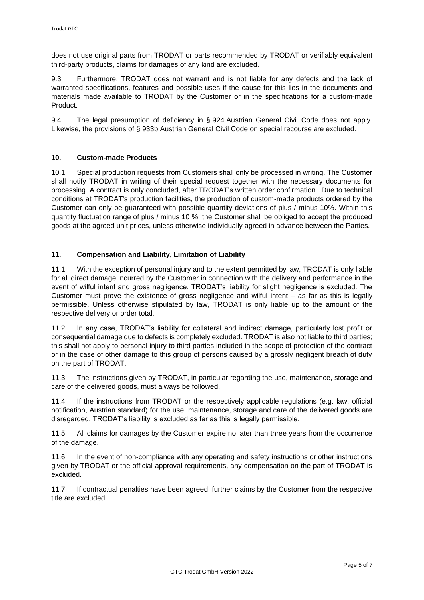does not use original parts from TRODAT or parts recommended by TRODAT or verifiably equivalent third-party products, claims for damages of any kind are excluded.

9.3 Furthermore, TRODAT does not warrant and is not liable for any defects and the lack of warranted specifications, features and possible uses if the cause for this lies in the documents and materials made available to TRODAT by the Customer or in the specifications for a custom-made Product.

9.4 The legal presumption of deficiency in § 924 Austrian General Civil Code does not apply. Likewise, the provisions of § 933b Austrian General Civil Code on special recourse are excluded.

#### **10. Custom-made Products**

10.1 Special production requests from Customers shall only be processed in writing. The Customer shall notify TRODAT in writing of their special request together with the necessary documents for processing. A contract is only concluded, after TRODAT's written order confirmation. Due to technical conditions at TRODAT's production facilities, the production of custom-made products ordered by the Customer can only be guaranteed with possible quantity deviations of plus / minus 10%. Within this quantity fluctuation range of plus / minus 10 %, the Customer shall be obliged to accept the produced goods at the agreed unit prices, unless otherwise individually agreed in advance between the Parties.

#### **11. Compensation and Liability, Limitation of Liability**

11.1 With the exception of personal injury and to the extent permitted by law, TRODAT is only liable for all direct damage incurred by the Customer in connection with the delivery and performance in the event of wilful intent and gross negligence. TRODAT's liability for slight negligence is excluded. The Customer must prove the existence of gross negligence and wilful intent – as far as this is legally permissible. Unless otherwise stipulated by law, TRODAT is only liable up to the amount of the respective delivery or order total.

11.2 In any case, TRODAT's liability for collateral and indirect damage, particularly lost profit or consequential damage due to defects is completely excluded. TRODAT is also not liable to third parties; this shall not apply to personal injury to third parties included in the scope of protection of the contract or in the case of other damage to this group of persons caused by a grossly negligent breach of duty on the part of TRODAT.

11.3 The instructions given by TRODAT, in particular regarding the use, maintenance, storage and care of the delivered goods, must always be followed.

11.4 If the instructions from TRODAT or the respectively applicable regulations (e.g. law, official notification, Austrian standard) for the use, maintenance, storage and care of the delivered goods are disregarded, TRODAT's liability is excluded as far as this is legally permissible.

11.5 All claims for damages by the Customer expire no later than three years from the occurrence of the damage.

11.6 In the event of non-compliance with any operating and safety instructions or other instructions given by TRODAT or the official approval requirements, any compensation on the part of TRODAT is excluded.

11.7 If contractual penalties have been agreed, further claims by the Customer from the respective title are excluded.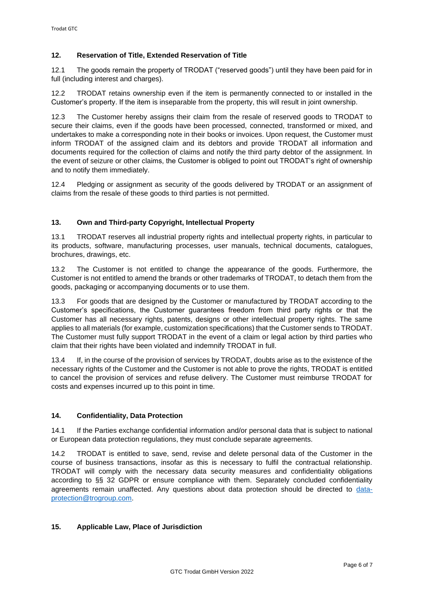## **12. Reservation of Title, Extended Reservation of Title**

12.1 The goods remain the property of TRODAT ("reserved goods") until they have been paid for in full (including interest and charges).

12.2 TRODAT retains ownership even if the item is permanently connected to or installed in the Customer's property. If the item is inseparable from the property, this will result in joint ownership.

12.3 The Customer hereby assigns their claim from the resale of reserved goods to TRODAT to secure their claims, even if the goods have been processed, connected, transformed or mixed, and undertakes to make a corresponding note in their books or invoices. Upon request, the Customer must inform TRODAT of the assigned claim and its debtors and provide TRODAT all information and documents required for the collection of claims and notify the third party debtor of the assignment. In the event of seizure or other claims, the Customer is obliged to point out TRODAT's right of ownership and to notify them immediately.

12.4 Pledging or assignment as security of the goods delivered by TRODAT or an assignment of claims from the resale of these goods to third parties is not permitted.

## **13. Own and Third-party Copyright, Intellectual Property**

13.1 TRODAT reserves all industrial property rights and intellectual property rights, in particular to its products, software, manufacturing processes, user manuals, technical documents, catalogues, brochures, drawings, etc.

13.2 The Customer is not entitled to change the appearance of the goods. Furthermore, the Customer is not entitled to amend the brands or other trademarks of TRODAT, to detach them from the goods, packaging or accompanying documents or to use them.

13.3 For goods that are designed by the Customer or manufactured by TRODAT according to the Customer's specifications, the Customer guarantees freedom from third party rights or that the Customer has all necessary rights, patents, designs or other intellectual property rights. The same applies to all materials (for example, customization specifications) that the Customer sends to TRODAT. The Customer must fully support TRODAT in the event of a claim or legal action by third parties who claim that their rights have been violated and indemnify TRODAT in full.

13.4 If, in the course of the provision of services by TRODAT, doubts arise as to the existence of the necessary rights of the Customer and the Customer is not able to prove the rights, TRODAT is entitled to cancel the provision of services and refuse delivery. The Customer must reimburse TRODAT for costs and expenses incurred up to this point in time.

## **14. Confidentiality, Data Protection**

14.1 If the Parties exchange confidential information and/or personal data that is subject to national or European data protection regulations, they must conclude separate agreements.

14.2 TRODAT is entitled to save, send, revise and delete personal data of the Customer in the course of business transactions, insofar as this is necessary to fulfil the contractual relationship. TRODAT will comply with the necessary data security measures and confidentiality obligations according to §§ 32 GDPR or ensure compliance with them. Separately concluded confidentiality agreements remain unaffected. Any questions about data protection should be directed to [data](mailto:data-protection@trogroup.com)[protection@trogroup.com.](mailto:data-protection@trogroup.com)

## **15. Applicable Law, Place of Jurisdiction**